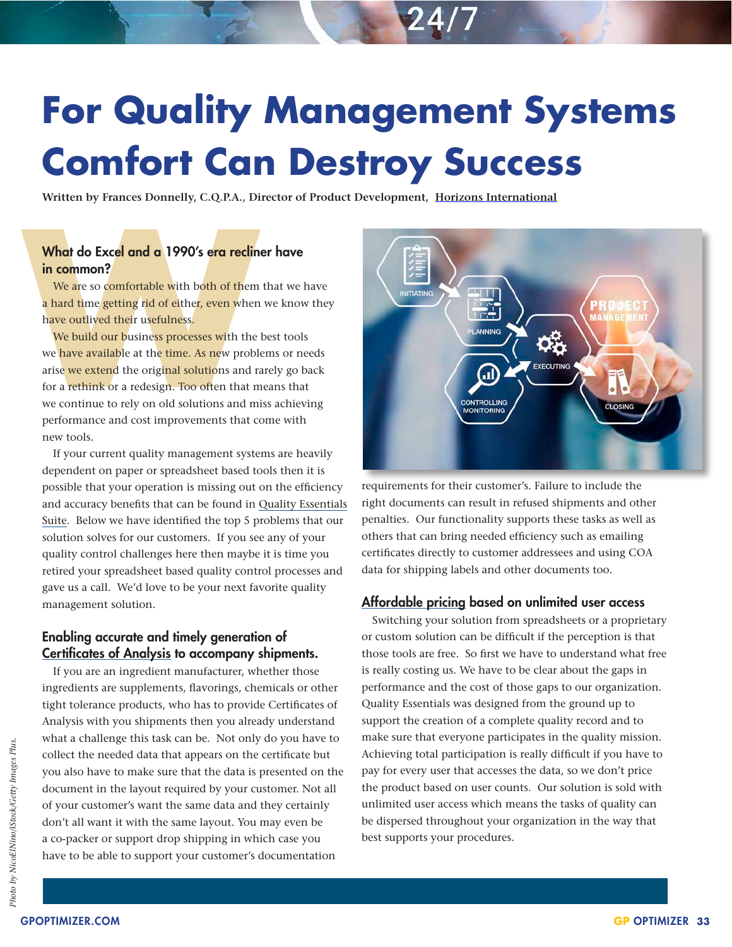# **For Quality Management Systems Comfort Can Destroy Success**

**Written by Frances Donnelly, C.Q.P.A., Director of Product Development, Horizons International**

# What do Excel and a 1990's era recliner have in common?

We are so comfortable with both of them that we have a hard time getting rid of either, even when we know they have outlived their usefulness.

What do Excel and a 1990's era reclim<br>in common?<br>We are so comfortable with both of them<br>a hard time getting rid of either, even where<br>have outlived their usefulness.<br>We build our business processes with the<br>we have availa We build our business processes with the best tools we have available at the time. As new problems or needs arise we extend the original solutions and rarely go back for a rethink or a redesign. Too often that means that we continue to rely on old solutions and miss achieving performance and cost improvements that come with new tools.

If your current quality management systems are heavily dependent on paper or spreadsheet based tools then it is possible that your operation is missing out on the efficiency and accuracy benefits that can be found in Quality Essentials Suite. Below we have identified the top 5 problems that our solution solves for our customers. If you see any of your quality control challenges here then maybe it is time you retired your spreadsheet based quality control processes and gave us a call. We'd love to be your next favorite quality management solution.

# Enabling accurate and timely generation of Certificates of Analysis to accompany shipments.

If you are an ingredient manufacturer, whether those ingredients are supplements, flavorings, chemicals or other tight tolerance products, who has to provide Certificates of Analysis with you shipments then you already understand what a challenge this task can be. Not only do you have to collect the needed data that appears on the certificate but you also have to make sure that the data is presented on the document in the layout required by your customer. Not all of your customer's want the same data and they certainly don't all want it with the same layout. You may even be a co-packer or support drop shipping in which case you have to be able to support your customer's documentation



requirements for their customer's. Failure to include the right documents can result in refused shipments and other penalties. Our functionality supports these tasks as well as others that can bring needed efficiency such as emailing certificates directly to customer addressees and using COA data for shipping labels and other documents too.

#### Affordable pricing based on unlimited user access

Switching your solution from spreadsheets or a proprietary or custom solution can be difficult if the perception is that those tools are free. So first we have to understand what free is really costing us. We have to be clear about the gaps in performance and the cost of those gaps to our organization. Quality Essentials was designed from the ground up to support the creation of a complete quality record and to make sure that everyone participates in the quality mission. Achieving total participation is really difficult if you have to pay for every user that accesses the data, so we don't price the product based on user counts. Our solution is sold with unlimited user access which means the tasks of quality can be dispersed throughout your organization in the way that best supports your procedures.